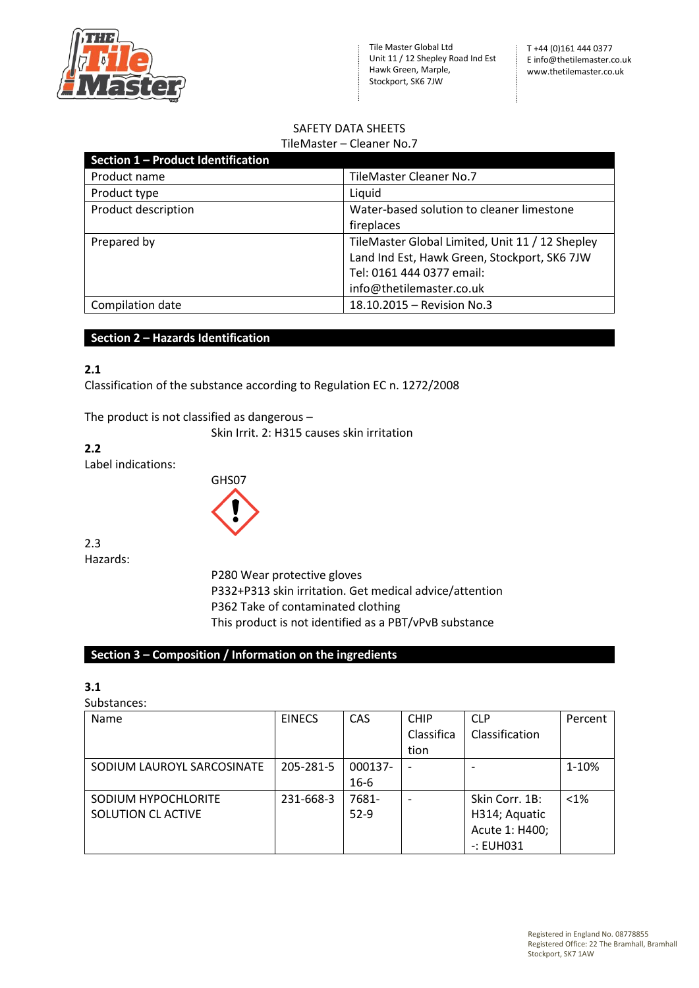

#### SAFETY DATA SHEETS TileMaster – Cleaner No.7

|                                    | THEIVIASLEI – CIEATIEL IVO. Z                   |
|------------------------------------|-------------------------------------------------|
| Section 1 - Product Identification |                                                 |
| Product name                       | TileMaster Cleaner No.7                         |
| Product type                       | Liquid                                          |
| Product description                | Water-based solution to cleaner limestone       |
|                                    | fireplaces                                      |
| Prepared by                        | TileMaster Global Limited, Unit 11 / 12 Shepley |
|                                    | Land Ind Est, Hawk Green, Stockport, SK6 7JW    |
|                                    | Tel: 0161 444 0377 email:                       |
|                                    | info@thetilemaster.co.uk                        |
| Compilation date                   | 18.10.2015 - Revision No.3                      |

## **Section 2 – Hazards Identification**

## **2.1**

Classification of the substance according to Regulation EC n. 1272/2008

The product is not classified as dangerous –

Skin Irrit. 2: H315 causes skin irritation

**2.2** Label indications:



2.3 Hazards:

> P280 Wear protective gloves P332+P313 skin irritation. Get medical advice/attention P362 Take of contaminated clothing This product is not identified as a PBT/vPvB substance

# **Section 3 – Composition / Information on the ingredients**

# **3.1**

## Substances:

| <b>Name</b>                | <b>EINECS</b> | CAS      | <b>CHIP</b> | <b>CLP</b>     | Percent |
|----------------------------|---------------|----------|-------------|----------------|---------|
|                            |               |          | Classifica  | Classification |         |
|                            |               |          | tion        |                |         |
| SODIUM LAUROYL SARCOSINATE | 205-281-5     | 000137-  |             |                | 1-10%   |
|                            |               | $16 - 6$ |             |                |         |
| SODIUM HYPOCHLORITE        | 231-668-3     | 7681-    |             | Skin Corr. 1B: | $< 1\%$ |
| SOLUTION CLACTIVE          |               | $52-9$   |             | H314; Aquatic  |         |
|                            |               |          |             | Acute 1: H400; |         |
|                            |               |          |             | $-$ : EUH031   |         |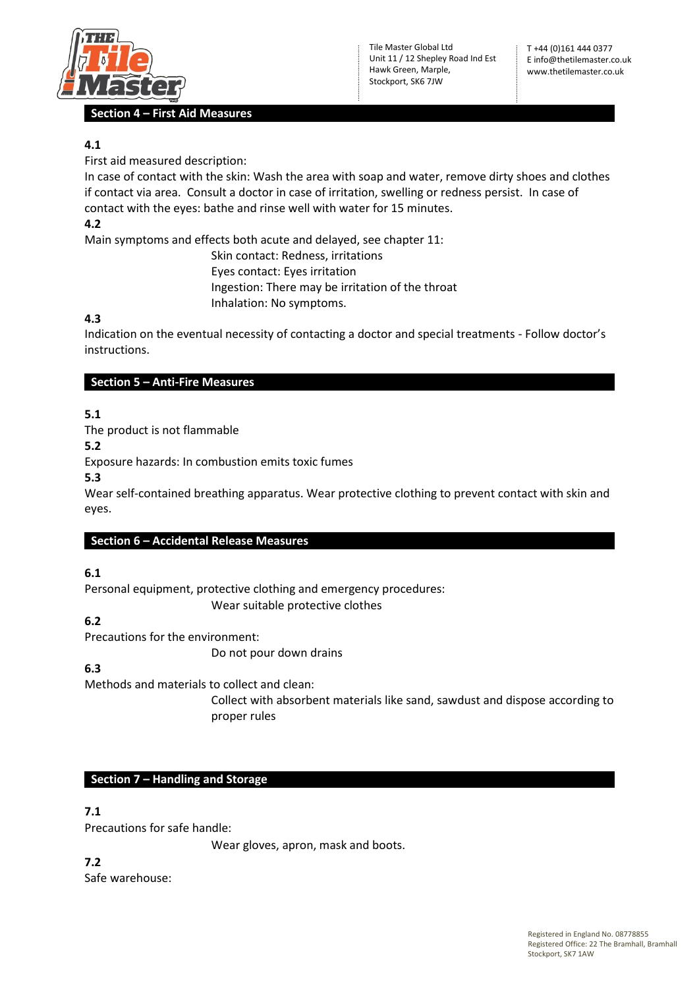

## **Section 4 – First Aid Measures**

# **4.1**

First aid measured description:

In case of contact with the skin: Wash the area with soap and water, remove dirty shoes and clothes if contact via area. Consult a doctor in case of irritation, swelling or redness persist. In case of contact with the eyes: bathe and rinse well with water for 15 minutes.

# **4.2**

Main symptoms and effects both acute and delayed, see chapter 11:

Skin contact: Redness, irritations Eyes contact: Eyes irritation Ingestion: There may be irritation of the throat Inhalation: No symptoms.

# **4.3**

Indication on the eventual necessity of contacting a doctor and special treatments - Follow doctor's instructions.

## **Section 5 – Anti-Fire Measures**

**5.1**

The product is not flammable

**5.2**

Exposure hazards: In combustion emits toxic fumes

**5.3**

Wear self-contained breathing apparatus. Wear protective clothing to prevent contact with skin and eyes.

# **Section 6 – Accidental Release Measures**

# **6.1**

Personal equipment, protective clothing and emergency procedures:

Wear suitable protective clothes

# **6.2**

Precautions for the environment:

Do not pour down drains

# **6.3**

Methods and materials to collect and clean:

Collect with absorbent materials like sand, sawdust and dispose according to proper rules

# **Section 7 – Handling and Storage**

# **7.1**

Precautions for safe handle:

Wear gloves, apron, mask and boots.

**7.2** Safe warehouse: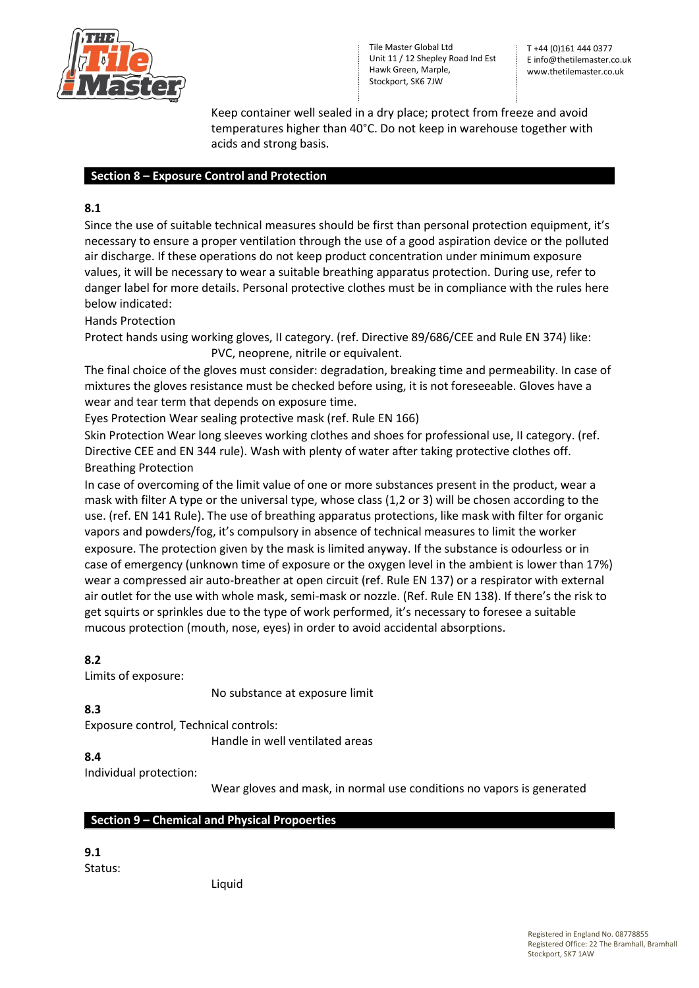

T +44 (0)161 444 0377 E info@thetilemaster.co.uk www.thetilemaster.co.uk

Keep container well sealed in a dry place; protect from freeze and avoid temperatures higher than 40°C. Do not keep in warehouse together with acids and strong basis.

### **Section 8 – Exposure Control and Protection**

# **8.1**

Since the use of suitable technical measures should be first than personal protection equipment, it's necessary to ensure a proper ventilation through the use of a good aspiration device or the polluted air discharge. If these operations do not keep product concentration under minimum exposure values, it will be necessary to wear a suitable breathing apparatus protection. During use, refer to danger label for more details. Personal protective clothes must be in compliance with the rules here below indicated:

Hands Protection

Protect hands using working gloves, II category. (ref. Directive 89/686/CEE and Rule EN 374) like: PVC, neoprene, nitrile or equivalent.

The final choice of the gloves must consider: degradation, breaking time and permeability. In case of mixtures the gloves resistance must be checked before using, it is not foreseeable. Gloves have a wear and tear term that depends on exposure time.

Eyes Protection Wear sealing protective mask (ref. Rule EN 166)

Skin Protection Wear long sleeves working clothes and shoes for professional use, II category. (ref. Directive CEE and EN 344 rule). Wash with plenty of water after taking protective clothes off. Breathing Protection

In case of overcoming of the limit value of one or more substances present in the product, wear a mask with filter A type or the universal type, whose class (1,2 or 3) will be chosen according to the use. (ref. EN 141 Rule). The use of breathing apparatus protections, like mask with filter for organic vapors and powders/fog, it's compulsory in absence of technical measures to limit the worker exposure. The protection given by the mask is limited anyway. If the substance is odourless or in case of emergency (unknown time of exposure or the oxygen level in the ambient is lower than 17%) wear a compressed air auto-breather at open circuit (ref. Rule EN 137) or a respirator with external air outlet for the use with whole mask, semi-mask or nozzle. (Ref. Rule EN 138). If there's the risk to get squirts or sprinkles due to the type of work performed, it's necessary to foresee a suitable mucous protection (mouth, nose, eyes) in order to avoid accidental absorptions.

## **8.2**

Limits of exposure:

No substance at exposure limit

**8.3**

Exposure control, Technical controls:

Handle in well ventilated areas

## **8.4**

Individual protection:

Wear gloves and mask, in normal use conditions no vapors is generated

## **Section 9 – Chemical and Physical Propoerties**

**9.1**

Status:

Liquid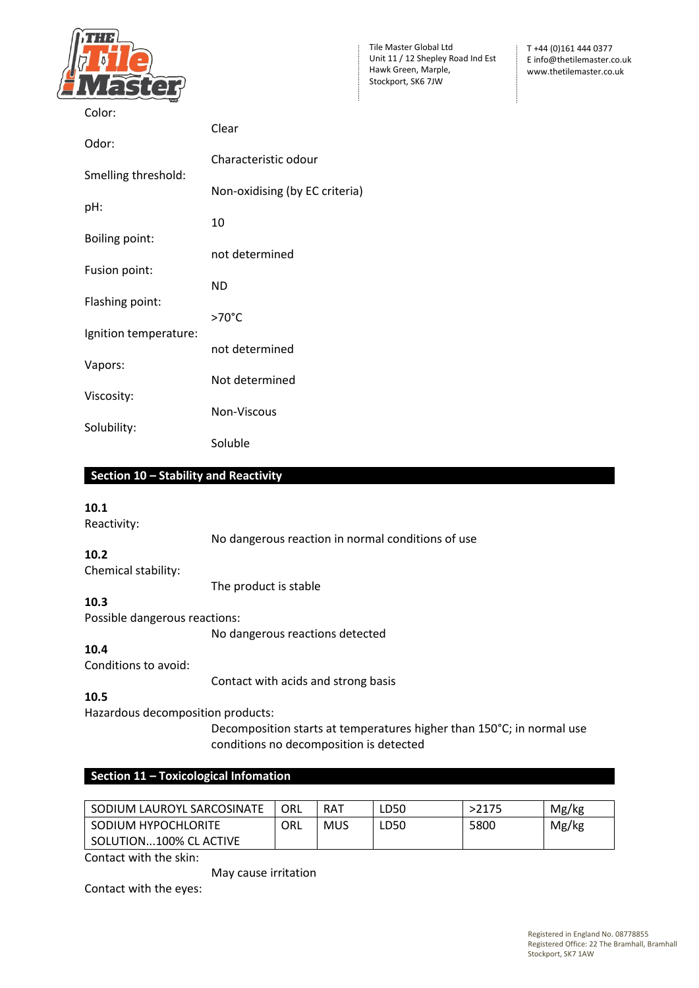

T +44 (0)161 444 0377 E info@thetilemaster.co.uk www.thetilemaster.co.uk

| Color:                |                                |
|-----------------------|--------------------------------|
|                       | Clear                          |
| Odor:                 | Characteristic odour           |
| Smelling threshold:   |                                |
|                       | Non-oxidising (by EC criteria) |
| pH:                   |                                |
|                       | 10                             |
| <b>Boiling point:</b> | not determined                 |
| Fusion point:         |                                |
|                       | <b>ND</b>                      |
| Flashing point:       |                                |
|                       | $>70^{\circ}$ C                |
| Ignition temperature: | not determined                 |
| Vapors:               |                                |
|                       | Not determined                 |
| Viscosity:            |                                |
|                       | Non-Viscous                    |
| Solubility:           | Soluble                        |

### **Section 10 – Stability and Reactivity**

#### **10.1**

Reactivity:

No dangerous reaction in normal conditions of use

# **10.2**

Chemical stability: The product is stable

### **10.3**

Possible dangerous reactions:

No dangerous reactions detected

# **10.4**

Conditions to avoid:

Contact with acids and strong basis

# **10.5**

Hazardous decomposition products:

Decomposition starts at temperatures higher than 150°C; in normal use conditions no decomposition is detected

# **Section 11 – Toxicological Infomation**

| SODIUM LAUROYL SARCOSINATE | ORL | <b>RAT</b> | LD50 | >2175 | Mg/kg |
|----------------------------|-----|------------|------|-------|-------|
| SODIUM HYPOCHLORITE        | ORL | <b>MUS</b> | LD50 | 5800  | Mg/kg |
| SOLUTION100% CL ACTIVE     |     |            |      |       |       |

Contact with the skin:

May cause irritation

Contact with the eyes: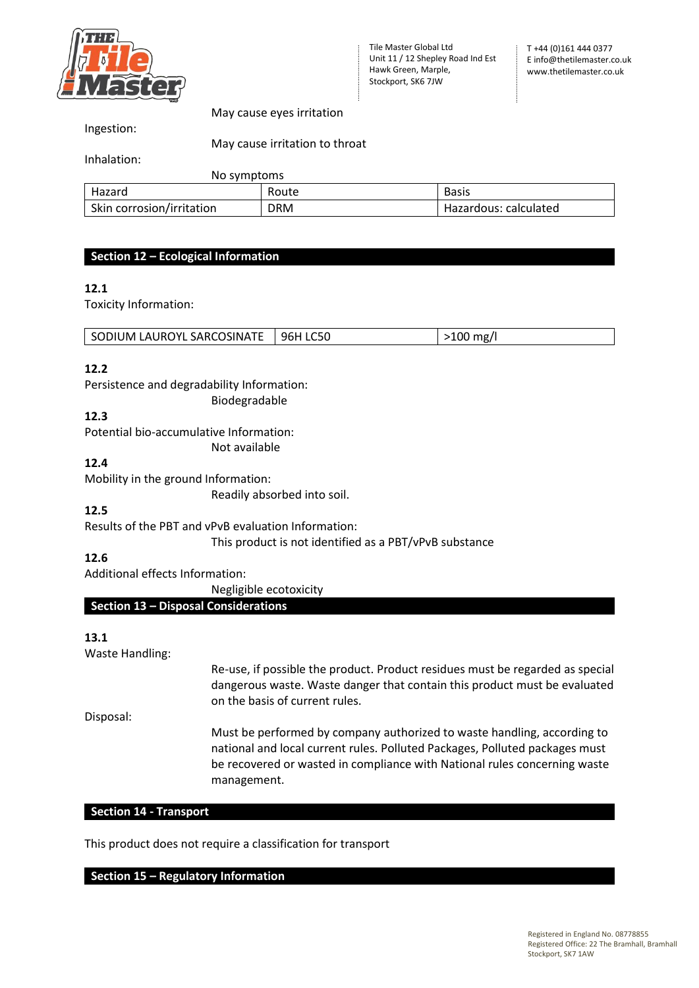

Ingestion:

May cause eyes irritation

May cause irritation to throat

Inhalation:

No symptoms

| <b>UNA SAHINGUHIS</b>     |            |                       |
|---------------------------|------------|-----------------------|
| Hazard                    | Route      | <b>Basis</b>          |
| Skin corrosion/irritation | <b>DRM</b> | Hazardous: calculated |

## **Section 12 – Ecological Information**

#### **12.1**

Toxicity Information:

| SODIUM LAUROYL SARCOSINATE   96H LC50 | $\vert$ >100 mg/l |
|---------------------------------------|-------------------|

#### **12.2**

Persistence and degradability Information: Biodegradable

# **12.3**

Potential bio-accumulative Information:

Not available

## **12.4**

Mobility in the ground Information:

Readily absorbed into soil.

## **12.5**

Results of the PBT and vPvB evaluation Information:

This product is not identified as a PBT/vPvB substance

# **12.6**

Additional effects Information:

Negligible ecotoxicity

# **Section 13 – Disposal Considerations**

## **13.1**

Waste Handling:

Re-use, if possible the product. Product residues must be regarded as special dangerous waste. Waste danger that contain this product must be evaluated on the basis of current rules.

Disposal:

Must be performed by company authorized to waste handling, according to national and local current rules. Polluted Packages, Polluted packages must be recovered or wasted in compliance with National rules concerning waste management.

#### **Section 14 - Transport**

This product does not require a classification for transport

## **Section 15 – Regulatory Information**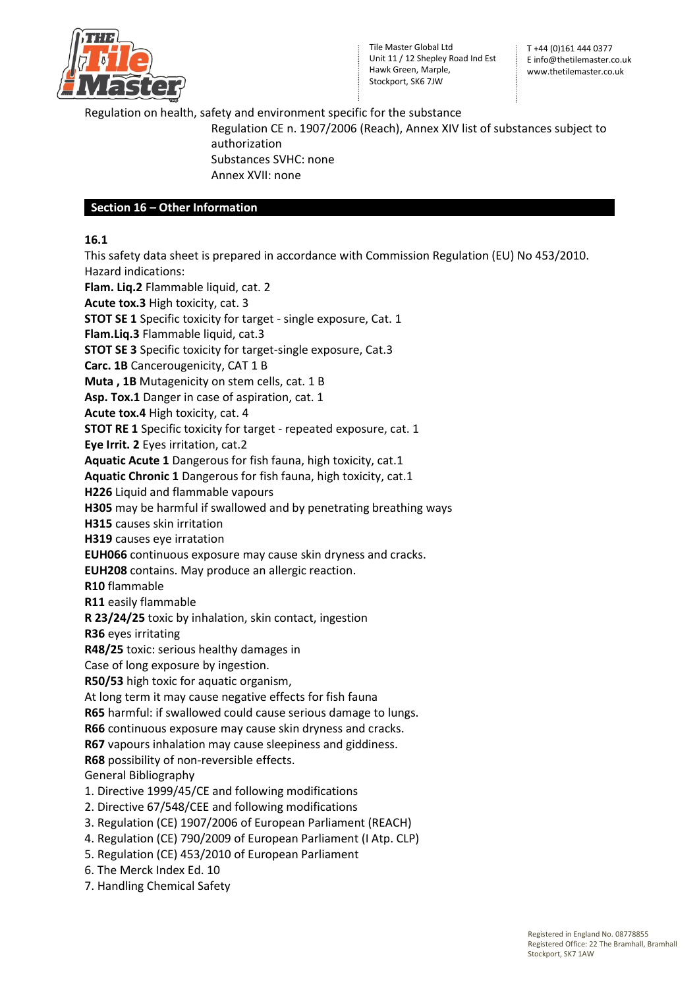

T +44 (0)161 444 0377 E info@thetilemaster.co.uk www.thetilemaster.co.uk

## Regulation on health, safety and environment specific for the substance

Regulation CE n. 1907/2006 (Reach), Annex XIV list of substances subject to authorization Substances SVHC: none Annex XVII: none

## **Section 16 – Other Information**

## **16.1**

This safety data sheet is prepared in accordance with Commission Regulation (EU) No 453/2010. Hazard indications: **Flam. Liq.2** Flammable liquid, cat. 2

**Acute tox.3** High toxicity, cat. 3

**STOT SE 1** Specific toxicity for target - single exposure, Cat. 1

**Flam.Liq.3** Flammable liquid, cat.3

**STOT SE 3** Specific toxicity for target-single exposure, Cat.3

**Carc. 1B** Cancerougenicity, CAT 1 B

**Muta , 1B** Mutagenicity on stem cells, cat. 1 B

**Asp. Tox.1** Danger in case of aspiration, cat. 1

**Acute tox.4** High toxicity, cat. 4

**STOT RE 1** Specific toxicity for target - repeated exposure, cat. 1

**Eye Irrit. 2** Eyes irritation, cat.2

**Aquatic Acute 1** Dangerous for fish fauna, high toxicity, cat.1

**Aquatic Chronic 1** Dangerous for fish fauna, high toxicity, cat.1

**H226** Liquid and flammable vapours

**H305** may be harmful if swallowed and by penetrating breathing ways

**H315** causes skin irritation

**H319** causes eye irratation

**EUH066** continuous exposure may cause skin dryness and cracks.

**EUH208** contains. May produce an allergic reaction.

**R10** flammable

**R11** easily flammable

**R 23/24/25** toxic by inhalation, skin contact, ingestion

**R36** eyes irritating

**R48/25** toxic: serious healthy damages in

Case of long exposure by ingestion.

**R50/53** high toxic for aquatic organism,

At long term it may cause negative effects for fish fauna

**R65** harmful: if swallowed could cause serious damage to lungs.

**R66** continuous exposure may cause skin dryness and cracks.

**R67** vapours inhalation may cause sleepiness and giddiness.

**R68** possibility of non-reversible effects.

General Bibliography

1. Directive 1999/45/CE and following modifications

2. Directive 67/548/CEE and following modifications

- 3. Regulation (CE) 1907/2006 of European Parliament (REACH)
- 4. Regulation (CE) 790/2009 of European Parliament (I Atp. CLP)
- 5. Regulation (CE) 453/2010 of European Parliament
- 6. The Merck Index Ed. 10
- 7. Handling Chemical Safety